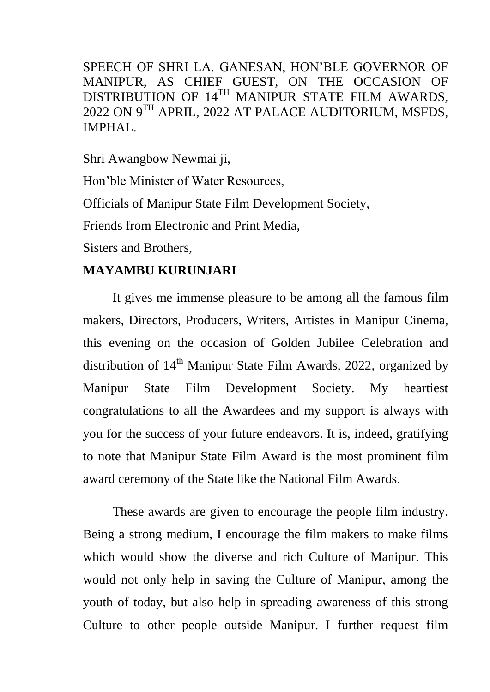SPEECH OF SHRI LA. GANESAN, HON"BLE GOVERNOR OF MANIPUR, AS CHIEF GUEST, ON THE OCCASION OF DISTRIBUTION OF 14<sup>TH</sup> MANIPUR STATE FILM AWARDS, 2022 ON 9TH APRIL, 2022 AT PALACE AUDITORIUM, MSFDS, IMPHAL.

Shri Awangbow Newmai ji,

Hon"ble Minister of Water Resources,

Officials of Manipur State Film Development Society,

Friends from Electronic and Print Media,

Sisters and Brothers,

## **MAYAMBU KURUNJARI**

It gives me immense pleasure to be among all the famous film makers, Directors, Producers, Writers, Artistes in Manipur Cinema, this evening on the occasion of Golden Jubilee Celebration and distribution of  $14<sup>th</sup>$  Manipur State Film Awards, 2022, organized by Manipur State Film Development Society. My heartiest congratulations to all the Awardees and my support is always with you for the success of your future endeavors. It is, indeed, gratifying to note that Manipur State Film Award is the most prominent film award ceremony of the State like the National Film Awards.

These awards are given to encourage the people film industry. Being a strong medium, I encourage the film makers to make films which would show the diverse and rich Culture of Manipur. This would not only help in saving the Culture of Manipur, among the youth of today, but also help in spreading awareness of this strong Culture to other people outside Manipur. I further request film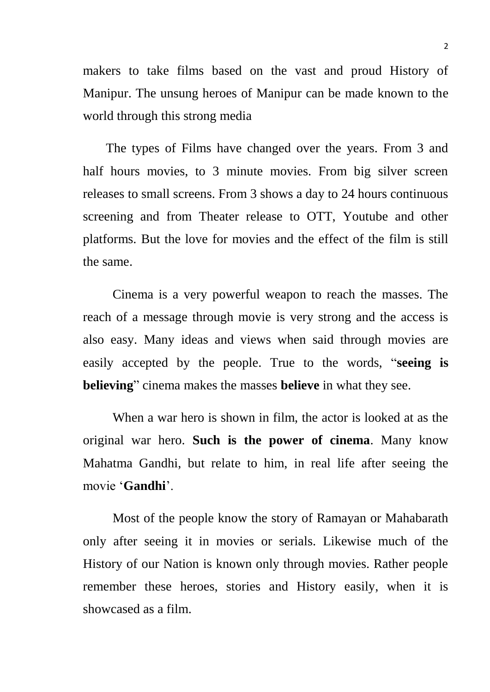makers to take films based on the vast and proud History of Manipur. The unsung heroes of Manipur can be made known to the world through this strong media

 The types of Films have changed over the years. From 3 and half hours movies, to 3 minute movies. From big silver screen releases to small screens. From 3 shows a day to 24 hours continuous screening and from Theater release to OTT, Youtube and other platforms. But the love for movies and the effect of the film is still the same.

Cinema is a very powerful weapon to reach the masses. The reach of a message through movie is very strong and the access is also easy. Many ideas and views when said through movies are easily accepted by the people. True to the words, "**seeing is believing**" cinema makes the masses **believe** in what they see.

When a war hero is shown in film, the actor is looked at as the original war hero. **Such is the power of cinema**. Many know Mahatma Gandhi, but relate to him, in real life after seeing the movie "**Gandhi**".

Most of the people know the story of Ramayan or Mahabarath only after seeing it in movies or serials. Likewise much of the History of our Nation is known only through movies. Rather people remember these heroes, stories and History easily, when it is showcased as a film.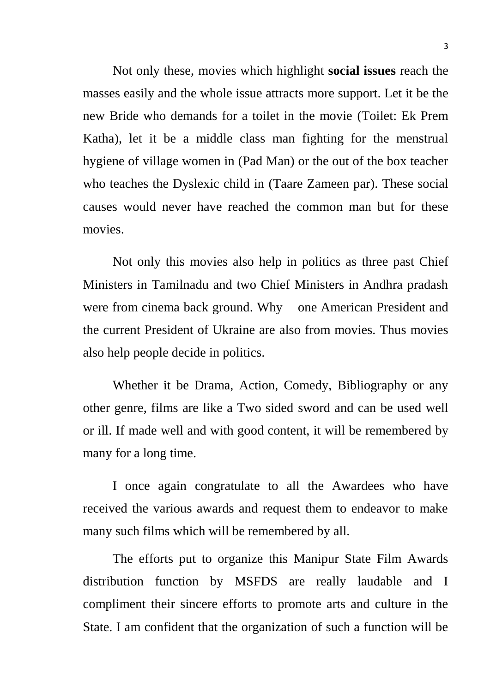Not only these, movies which highlight **social issues** reach the masses easily and the whole issue attracts more support. Let it be the new Bride who demands for a toilet in the movie (Toilet: Ek Prem Katha), let it be a middle class man fighting for the menstrual hygiene of village women in (Pad Man) or the out of the box teacher who teaches the Dyslexic child in (Taare Zameen par). These social causes would never have reached the common man but for these movies.

Not only this movies also help in politics as three past Chief Ministers in Tamilnadu and two Chief Ministers in Andhra pradash were from cinema back ground. Why one American President and the current President of Ukraine are also from movies. Thus movies also help people decide in politics.

Whether it be Drama, Action, Comedy, Bibliography or any other genre, films are like a Two sided sword and can be used well or ill. If made well and with good content, it will be remembered by many for a long time.

I once again congratulate to all the Awardees who have received the various awards and request them to endeavor to make many such films which will be remembered by all.

The efforts put to organize this Manipur State Film Awards distribution function by MSFDS are really laudable and I compliment their sincere efforts to promote arts and culture in the State. I am confident that the organization of such a function will be